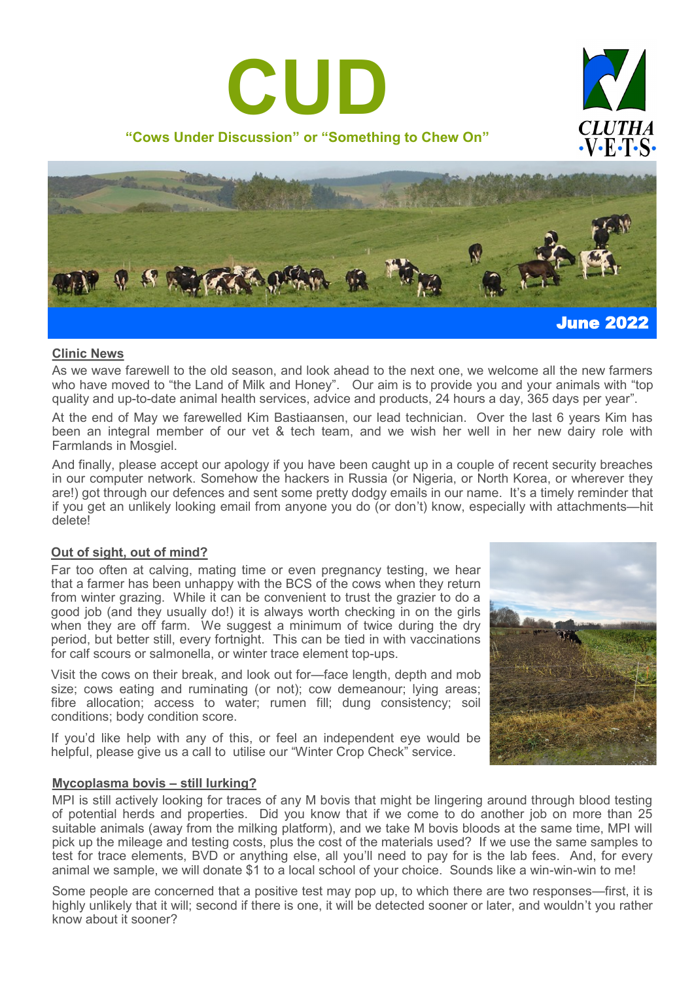





# **Clinic News**

As we wave farewell to the old season, and look ahead to the next one, we welcome all the new farmers who have moved to "the Land of Milk and Honey". Our aim is to provide you and your animals with "top quality and up-to-date animal health services, advice and products, 24 hours a day, 365 days per year".

At the end of May we farewelled Kim Bastiaansen, our lead technician. Over the last 6 years Kim has been an integral member of our vet & tech team, and we wish her well in her new dairy role with Farmlands in Mosgiel.

And finally, please accept our apology if you have been caught up in a couple of recent security breaches in our computer network. Somehow the hackers in Russia (or Nigeria, or North Korea, or wherever they are!) got through our defences and sent some pretty dodgy emails in our name. It's a timely reminder that if you get an unlikely looking email from anyone you do (or don't) know, especially with attachments—hit delete!

# **Out of sight, out of mind?**

Far too often at calving, mating time or even pregnancy testing, we hear that a farmer has been unhappy with the BCS of the cows when they return from winter grazing. While it can be convenient to trust the grazier to do a good job (and they usually do!) it is always worth checking in on the girls when they are off farm. We suggest a minimum of twice during the dry period, but better still, every fortnight. This can be tied in with vaccinations for calf scours or salmonella, or winter trace element top-ups.

Visit the cows on their break, and look out for—face length, depth and mob size; cows eating and ruminating (or not); cow demeanour; lying areas; fibre allocation; access to water; rumen fill; dung consistency; soil conditions; body condition score.

If you'd like help with any of this, or feel an independent eye would be helpful, please give us a call to utilise our "Winter Crop Check" service.



# **Mycoplasma bovis – still lurking?**

MPI is still actively looking for traces of any M bovis that might be lingering around through blood testing of potential herds and properties. Did you know that if we come to do another job on more than 25 suitable animals (away from the milking platform), and we take M bovis bloods at the same time, MPI will pick up the mileage and testing costs, plus the cost of the materials used? If we use the same samples to test for trace elements, BVD or anything else, all you'll need to pay for is the lab fees. And, for every animal we sample, we will donate \$1 to a local school of your choice. Sounds like a win-win-win to me!

Some people are concerned that a positive test may pop up, to which there are two responses—first, it is highly unlikely that it will; second if there is one, it will be detected sooner or later, and wouldn't you rather know about it sooner?